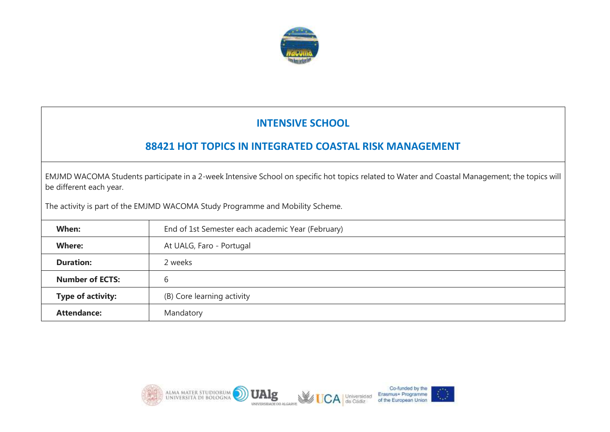

## **INTENSIVE SCHOOL**

## **88421 HOT TOPICS IN INTEGRATED COASTAL RISK MANAGEMENT**

EMJMD WACOMA Students participate in a 2-week Intensive School on specific hot topics related to Water and Coastal Management; the topics will be different each year.

The activity is part of the EMJMD WACOMA Study Programme and Mobility Scheme.

| When:                    | End of 1st Semester each academic Year (February) |  |
|--------------------------|---------------------------------------------------|--|
| <b>Where:</b>            | At UALG, Faro - Portugal                          |  |
| <b>Duration:</b>         | 2 weeks                                           |  |
| <b>Number of ECTS:</b>   | b                                                 |  |
| <b>Type of activity:</b> | (B) Core learning activity                        |  |
| <b>Attendance:</b>       | Mandatory                                         |  |

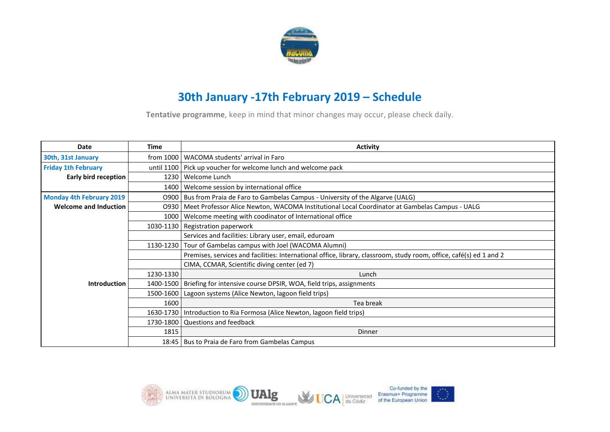

## **30th January -17th February 2019 – Schedule**

**Tentative programme**, keep in mind that minor changes may occur, please check daily.

| Date                         | Time      | <b>Activity</b>                                                                                                     |
|------------------------------|-----------|---------------------------------------------------------------------------------------------------------------------|
| 30th, 31st January           |           | from 1000   WACOMA students' arrival in Faro                                                                        |
| <b>Friday 1th February</b>   |           | until 1100   Pick up voucher for welcome lunch and welcome pack                                                     |
| Early bird reception         |           | 1230   Welcome Lunch                                                                                                |
|                              |           | 1400   Welcome session by international office                                                                      |
| Monday 4th February 2019     |           | O900   Bus from Praia de Faro to Gambelas Campus - University of the Algarve (UALG)                                 |
| <b>Welcome and Induction</b> |           | 0930   Meet Professor Alice Newton, WACOMA Institutional Local Coordinator at Gambelas Campus - UALG                |
|                              | 1000      | Welcome meeting with coodinator of International office                                                             |
|                              |           | 1030-1130 Registration paperwork                                                                                    |
|                              |           | Services and facilities: Library user, email, eduroam                                                               |
|                              |           | 1130-1230   Tour of Gambelas campus with Joel (WACOMA Alumni)                                                       |
|                              |           | Premises, services and facilities: International office, library, classroom, study room, office, café(s) ed 1 and 2 |
|                              |           | CIMA, CCMAR, Scientific diving center (ed 7)                                                                        |
|                              | 1230-1330 | Lunch                                                                                                               |
| <b>Introduction</b>          |           | 1400-1500   Briefing for intensive course DPSIR, WOA, field trips, assignments                                      |
|                              | 1500-1600 | Lagoon systems (Alice Newton, lagoon field trips)                                                                   |
|                              | 1600      | Tea break                                                                                                           |
|                              |           | 1630-1730   Introduction to Ria Formosa (Alice Newton, lagoon field trips)                                          |
|                              |           | 1730-1800 Questions and feedback                                                                                    |
|                              | 1815      | <b>Dinner</b>                                                                                                       |
|                              |           | 18:45   Bus to Praia de Faro from Gambelas Campus                                                                   |

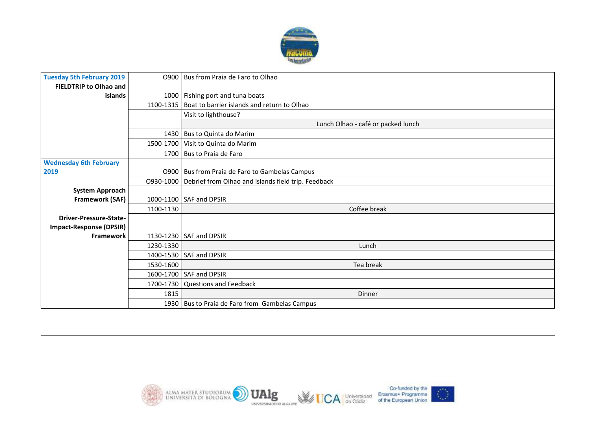

| <b>Tuesday 5th February 2019</b>     |           | 0900   Bus from Praia de Faro to Olhao                        |
|--------------------------------------|-----------|---------------------------------------------------------------|
| <b>FIELDTRIP to Olhao and</b>        |           |                                                               |
| <b>islands</b>                       |           | 1000 Fishing port and tuna boats                              |
|                                      |           | 1100-1315   Boat to barrier islands and return to Olhao       |
|                                      |           | Visit to lighthouse?                                          |
|                                      |           | Lunch Olhao - café or packed lunch                            |
|                                      |           | 1430 Bus to Quinta do Marim                                   |
|                                      |           | 1500-1700 Visit to Quinta do Marim                            |
|                                      |           | 1700   Bus to Praia de Faro                                   |
| <b>Wednesday 6th February</b>        |           |                                                               |
| 2019                                 |           | 0900   Bus from Praia de Faro to Gambelas Campus              |
|                                      |           | 0930-1000 Debrief from Olhao and islands field trip. Feedback |
| <b>System Approach</b>               |           |                                                               |
| Framework (SAF)                      |           | 1000-1100 SAF and DPSIR                                       |
|                                      | 1100-1130 | Coffee break                                                  |
| <b>Driver-Pressure-State-</b>        |           |                                                               |
| Impact-Response (DPSIR)<br>Framework |           | 1130-1230 SAF and DPSIR                                       |
|                                      | 1230-1330 | Lunch                                                         |
|                                      | 1400-1530 | <b>SAF and DPSIR</b>                                          |
|                                      | 1530-1600 | Tea break                                                     |
|                                      |           | 1600-1700 SAF and DPSIR                                       |
|                                      |           | 1700-1730 Questions and Feedback                              |
|                                      | 1815      | Dinner                                                        |
|                                      |           | 1930   Bus to Praia de Faro from Gambelas Campus              |

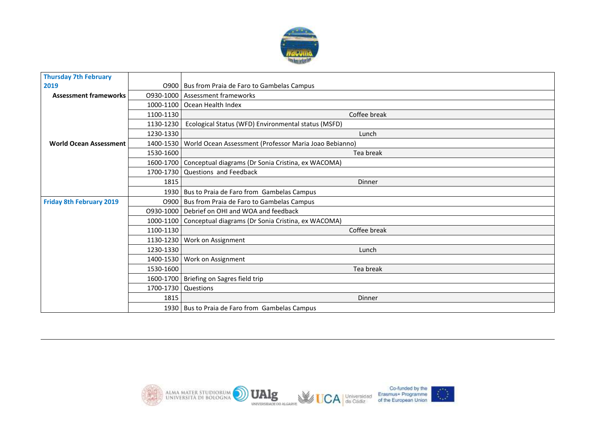

| <b>Thursday 7th February</b>    |                       |                                                                    |
|---------------------------------|-----------------------|--------------------------------------------------------------------|
| 2019                            |                       | 0900   Bus from Praia de Faro to Gambelas Campus                   |
| <b>Assessment frameworks</b>    |                       | 0930-1000 Assessment frameworks                                    |
|                                 |                       | 1000-1100   Ocean Health Index                                     |
|                                 | 1100-1130             | Coffee break                                                       |
|                                 | 1130-1230             | Ecological Status (WFD) Environmental status (MSFD)                |
|                                 | 1230-1330             | Lunch                                                              |
| <b>World Ocean Assessment</b>   |                       | 1400-1530   World Ocean Assessment (Professor Maria Joao Bebianno) |
|                                 | 1530-1600             | Tea break                                                          |
|                                 |                       | 1600-1700 Conceptual diagrams (Dr Sonia Cristina, ex WACOMA)       |
|                                 |                       | 1700-1730 Questions and Feedback                                   |
|                                 | 1815                  | <b>Dinner</b>                                                      |
|                                 |                       | 1930   Bus to Praia de Faro from Gambelas Campus                   |
| <b>Friday 8th February 2019</b> |                       | 0900   Bus from Praia de Faro to Gambelas Campus                   |
|                                 |                       | 0930-1000   Debrief on OHI and WOA and feedback                    |
|                                 |                       | 1000-1100   Conceptual diagrams (Dr Sonia Cristina, ex WACOMA)     |
|                                 | 1100-1130             | Coffee break                                                       |
|                                 |                       | 1130-1230   Work on Assignment                                     |
|                                 | 1230-1330             | Lunch                                                              |
|                                 |                       | 1400-1530   Work on Assignment                                     |
|                                 | 1530-1600             | Tea break                                                          |
|                                 |                       | 1600-1700   Briefing on Sagres field trip                          |
|                                 | 1700-1730   Questions |                                                                    |
|                                 | 1815                  | <b>Dinner</b>                                                      |
|                                 |                       | 1930   Bus to Praia de Faro from Gambelas Campus                   |

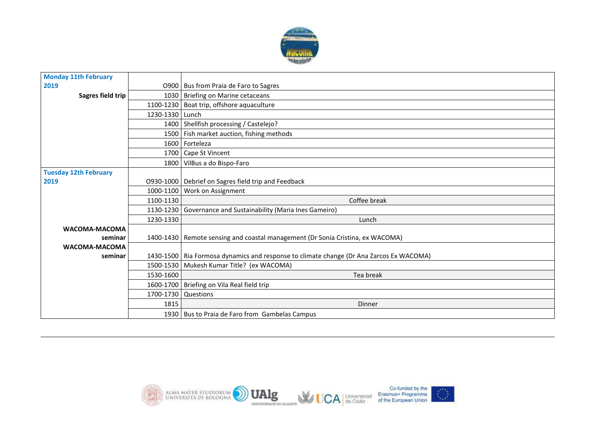

| <b>Monday 11th February</b>  |                     |                                                                                           |
|------------------------------|---------------------|-------------------------------------------------------------------------------------------|
| 2019                         |                     | 0900   Bus from Praia de Faro to Sagres                                                   |
| Sagres field trip            |                     | 1030 Briefing on Marine cetaceans                                                         |
|                              |                     | 1100-1230   Boat trip, offshore aquaculture                                               |
|                              | 1230-1330 Lunch     |                                                                                           |
|                              |                     | 1400 Shellfish processing / Castelejo?                                                    |
|                              |                     | 1500   Fish market auction, fishing methods                                               |
|                              |                     | 1600 Forteleza                                                                            |
|                              |                     | 1700 Cape St Vincent                                                                      |
|                              |                     | 1800 VilBus a do Bispo-Faro                                                               |
| <b>Tuesday 12th February</b> |                     |                                                                                           |
| 2019                         |                     | 0930-1000   Debrief on Sagres field trip and Feedback                                     |
|                              |                     | 1000-1100 Work on Assignment                                                              |
|                              | 1100-1130           | Coffee break                                                                              |
|                              | 1130-1230           | Governance and Sustainability (Maria Ines Gameiro)                                        |
|                              | 1230-1330           | Lunch                                                                                     |
| WACOMA-MACOMA                |                     |                                                                                           |
| seminar                      |                     | 1400-1430   Remote sensing and coastal management (Dr Sonia Cristina, ex WACOMA)          |
| WACOMA-MACOMA                |                     |                                                                                           |
| seminar                      |                     | 1430-1500   Ria Formosa dynamics and response to climate change (Dr Ana Zarcos Ex WACOMA) |
|                              |                     | 1500-1530   Mukesh Kumar Title? (ex WACOMA)                                               |
|                              | 1530-1600           | Tea break                                                                                 |
|                              |                     | 1600-1700 Briefing on Vila Real field trip                                                |
|                              | 1700-1730 Questions |                                                                                           |
|                              | 1815                | Dinner                                                                                    |
|                              |                     | 1930   Bus to Praia de Faro from Gambelas Campus                                          |

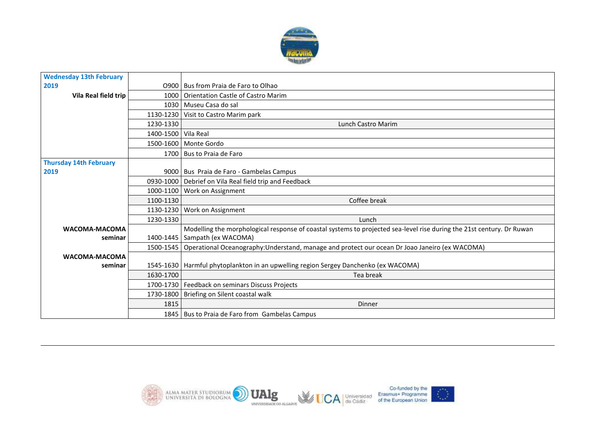

| <b>Wednesday 13th February</b> |                     |                                                                                                                       |
|--------------------------------|---------------------|-----------------------------------------------------------------------------------------------------------------------|
| 2019                           |                     | 0900 Bus from Praia de Faro to Olhao                                                                                  |
| Vila Real field trip           | 1000                | Orientation Castle of Castro Marim                                                                                    |
|                                |                     | 1030   Museu Casa do sal                                                                                              |
|                                | 1130-1230           | Visit to Castro Marim park                                                                                            |
|                                | 1230-1330           | Lunch Castro Marim                                                                                                    |
|                                | 1400-1500 Vila Real |                                                                                                                       |
|                                |                     | 1500-1600 Monte Gordo                                                                                                 |
|                                |                     | 1700 Bus to Praia de Faro                                                                                             |
| <b>Thursday 14th February</b>  |                     |                                                                                                                       |
| 2019                           |                     | 9000   Bus Praia de Faro - Gambelas Campus                                                                            |
|                                |                     | 0930-1000 Debrief on Vila Real field trip and Feedback                                                                |
|                                | 1000-1100           | Work on Assignment                                                                                                    |
|                                | 1100-1130           | Coffee break                                                                                                          |
|                                | 1130-1230           | Work on Assignment                                                                                                    |
|                                | 1230-1330           | Lunch                                                                                                                 |
| WACOMA-MACOMA                  |                     | Modelling the morphological response of coastal systems to projected sea-level rise during the 21st century. Dr Ruwan |
| seminar                        |                     | 1400-1445   Sampath (ex WACOMA)                                                                                       |
|                                |                     | 1500-1545   Operational Oceanography: Understand, manage and protect our ocean Dr Joao Janeiro (ex WACOMA)            |
| WACOMA-MACOMA                  |                     |                                                                                                                       |
| seminar                        |                     | 1545-1630   Harmful phytoplankton in an upwelling region Sergey Danchenko (ex WACOMA)                                 |
|                                | 1630-1700           | Tea break                                                                                                             |
|                                |                     | 1700-1730   Feedback on seminars Discuss Projects                                                                     |
|                                |                     | 1730-1800   Briefing on Silent coastal walk                                                                           |
|                                | 1815                | <b>Dinner</b>                                                                                                         |
|                                |                     | 1845   Bus to Praia de Faro from Gambelas Campus                                                                      |